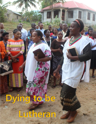## **Dying to be**

**Lutheran**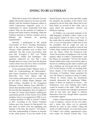## **DYING TO BE LUTHERAN**

What does it mean to be Lutheran? Can one rightly call oneself Lutheran if one does not fully identify with the Northern European culture in which Lutheranism originally arose, or is Lutheranism by nature inseparable from that culture? Why are the numbers of Lutherans in Europe and North America declining, while the Lutheran churches in African countries such as Ethiopia and Tanzania are growing exponentially?

Recently, I participated in the annual Convocation of ELCA Teaching Theologians held at the Lutheran School of Theology in Chicago, where questions such as these were addressed. The title of the Convocation, held from July 31-August 2, 2017, was "Global Lutheranism: Vitality and Challenges." The questions addressed are ones that I have thought about for many years from the Mexican context where I live and serve. Here I would like to share the results of that reflection.

In his presentation titled "Mekane Yesus: A Motif for Contextualizing the Reformation," John Nunes, President of Concordia College in Bronxville, New York, shared with the Convocation participants part of a conversation he had had in Adidas Ababa, Ethiopia with Iteffa Gobena, President of the Evangelical Ethiopian Church Mekane Yesus (EECMY)—a church that identifies itself as Lutheran, despite the fact that this designation does not appear in its name. Dr. Nunes cited statistics outlining the exponential growth of that church: from 65,000 members when it was organized in 1959, to over 5 million members in 2010, to around 7 million in 2017. According to Dr. Nunes, President Gobena gave four reasons for that growth, the first three of which were the equipping and ministry of the laity, the church's "revivalism," and their understanding of mission as directed to the whole person. It was the fourth of the

reasons he gave, however, that especially caught my attention: the members of the church were prepared to die for their faith. Many had in fact been killed on account of their faith, and in many places the persecution, violence, and killing are ongoing.

As Walther von Loewenich indicates in his 1982 biography of Martin Luther, $1$  when to his total surprise Luther's *95 Theses* went "viral" in the weeks after he posted them on October 31, 1517, it was not long before Luther had to face the possibility that he might not only be punished but even put to death for what he had written. Many within the Church were incensed over the Theses. When the Dominican John Tetzel, the preacher of indulgences who was the primary object of Luther's condemnation, read the Theses, he responded: "I'll have the heretic burned within three weeks and send his ashes to heaven in a bathing cap [his ashes would be put into a bathing cap and tossed into the water]" (117). In late January of 1518, at a meeting of the Saxon chapter of the Dominican order at the University of Frankfurt, Tetzel presented his own 106 Theses in response to those of Luther. "Moved by Tetzel's attack, the Dominicans formally denounced the impertinent Wittenberger at Rome on suspicion of heresy.... The Dominicans were soon boasting that Luther would be burned at the stake" (129). Some of Luther's own friends and colleagues questioned what he had done and began to distance themselves from him, though others expressed to him their support.

Luther's initial response seems to have been a mix of defiance, concern for his own safety, and a desire that others not be adversely affected by what he had written. Citing the words of Luther himself, von Loewenich notes: "In Luther's own cloister, apprehensive voices were raised. Dr. Schurff warned him, '"You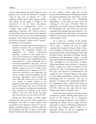wish to write against the pope? What are you going to do? It won't be tolerated!" I replied, "And if they *have* to tolerate it?"'" (117; emphasis added). Here Luther appears defiant. The concern for his safety is evident in the *Explanations of the 95 Theses* (*Resolutiones*  disputationum de *indulgentiarum virtute*), "weighty Latin work" he composed at the beginning of February 1518. There he tried to convince those who were angered and offended by his theses that he was not questioning the authority of the Church and the pope and that he did not represent a threat to the "system." According to von Loewenich:

**¯¯¯¯¯¯¯¯¯¯¯¯¯¯¯¯¯¯¯¯¯¯¯¯¯¯¯¯¯¯¯¯¯¯¯¯¯¯¯¯¯¯¯¯¯¯¯¯¯¯¯¯¯¯¯¯¯¯¯¯¯¯¯¯¯¯¯¯¯¯¯¯¯¯¯¯¯¯¯¯¯¯¯¯¯¯¯¯¯¯**

He did not want his statements to be taken as definitive assertions, but as propositions for discussion. He repeatedly declared his willingness to respect ecclesiastical authority.... In May of 1518, Luther sent a copy of the *Explanations* to Staupitz [Luther's immediate superior in the Augustinian order], accompanied by a letter requesting him to have them transmitted to the pope.... He also stated that he was in such poor health that Staupitz should not fear his violent death. This was followed by an appeal to Leo X, to whom the *Explanations* were dedicated. His call for a debate had been justifiable. He had previously approached several persons of rank within the church, but to no avail. He now wished to submit himself to the judgment of the pope, and would accept the voice of the pope as the voice of Christ. He had not proposed anything that contradicted Holy Scripture, the teachings of the church Fathers, or the law of the church. He might have erred, but he was not a heretic (118-119).

During the first months of 1518, Luther continued to write not only on the question of indulgences but also on other subjects that responded to his pastoral concern for the lay people, including numerous sermons which he also preached (119-120). In April of 1518, after Elector Frederick the Wise had given him a letter of safe conduct, Luther made the ten-day journey from Wittenberg to Heidelberg to attend the general meeting of his order there. At the meeting, he presented his "Heidelberg Disputation," at the heart of which stood his "theology of the cross" (121-126). While in general he was warmly received, Luther felt that the theologians who had heard him had not understood his thought and had rejected it. "He wrote to Spalatin that—like Christ—having been rejected by the Jewish authorities, he would go to the Gentiles." (127).

As a result of a meeting of the general chapter of the Dominican order in Rome at the end of May, a citation was sent to Luther ordering him to appear in Rome within 60 days of its reception to meet with Cardinal Cajetan, general of the order. At the meeting, Cajetan had awarded Tetzel a doctorate in theology and the Dominicans had denounced Luther a second time and initiated proceedings against him (130- 131). According to von Loewenich, in Rome Luther had already been declared a "notorious heretic," largely as a result of a sermon he had preached on May 16 questioning the power of the pope and Church to excommunicate. On August 23, Leo X ordered Cajetan as his legate to arrest Luther immediately, wrote to Frederick demanding that he surrender "the son of iniquity" to Cajetan, and "ordered the abbot of the Augustinian order, Gabriel della Volta, to imprison Luther and bind him hand and foot" (131-132). However, this order did not reach Cajetan until nearly two months later.

In the meantime, thanks to the intervention of Frederick, Luther's meeting with Cajetan was moved to the German city of Augsburg. Frederick also asked Cajetan to "hear Luther in Augsburg as a 'father,' not as a judge, and then allow him to return to Wittenberg unhindered" (133-134), and Cajetan agreed. Luther, in a depressed stated, set out for Augsburg on September 26. Von Loewenich writes: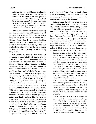**¯¯¯¯¯¯¯¯¯¯¯¯¯¯¯¯¯¯¯¯¯¯¯¯¯¯¯¯¯¯¯¯¯¯¯¯¯¯¯¯¯¯¯¯¯¯¯¯¯¯¯¯¯¯¯¯¯¯¯¯¯¯¯¯¯¯¯¯¯¯¯¯¯¯¯¯¯¯¯¯¯¯¯¯¯¯¯¯¯¯** All along the way he had been warned that he would be no match for the Italian cardinal; he would be burned at the stake. "Now you must die, I say to myself." "What a disgrace I will be to my dear parents." Yet from Nuremberg he wrote to his Wittenberg friends: "Christ is Lord in Augsburg, even among his enemies! Let Christ live and Martin die!" (135).

Here we find an explicit affirmation that, by that time, Luther had reached the point at which he was *willing to die for his faith and his work on behalf of the gospel*, like the members of the Mekane Yesus Church to whom President Gobena referred. His actions backed up his words: he continued on to Augsburg rather than turning back, refusing to heed those who sought to dissuade him from putting his life at risk by going there.

On October 9, after he had arrived in Augsburg, a representative of Cajetan went to meet with Luther at the monastery where he was staying "to persuade him to agree to whatever Cajetan might request," including recantation. At the end of their conversation, "he asked Luther whether he believed the elector would use force on his behalf. 'By no means,' replied Luther. 'But then where will you stay?' 'Under heaven,' retorted Luther" (135). A couple of days later, Luther wrote a letter to his colleague Philip Melanchthon expressing his sadness that he might never see him and his other Wittenberg friends again, yet added "that he would rather accept separation than recant" (137). As a result of his refusal to recant, his meetings with Cajetan got nowhere. Angry and frustrated, Cajetan merely began yelling at Luther and finally ordered him to leave his presence and not return until he was willing to recant. In the midst of this harrowing situation, knowing full well that his life was at stake, on October 14 Luther wrote to another Wittenberg colleague, Andreas Karlstadt, that in spite of his apparently lofty qualifications, Cajetan was "as incapable of handling this matter as an ass is at

playing the harp" (140). When one thinks about it, this is astounding: instead of trembling in fear or collapsing from nerves, Luther resorts to humor to make light of the situation!

In the ensuing days, Luther wrote a note to Cajetan telling him that, since his conscience would not let him recant, he was going to leave Augsburg. He also sent Cajetan an appeal to the pope that he asked Cajetan to deliver personally to the pope and had the appeal posted to the door of the Augsburg cathedral after having it notarized. In the appeal, he gave the reasons why he would not go to Rome to be examined there (140). Conscious of the fact that Cajetan might have him arrested before he could leave, Luther decided to abandon Augsburg secretly. Von Loewenich describes what happened next:

Luther's friends decided to help him escape. On the night of October 20 he left the city through a small door in the city wall and mounted a horse that had been provided for him. One companion went with him. Years later Luther still recalled with horror that ride on a nag without any suitable clothing. On the first evening he arrived at Monheim (in the district of Donauwörth) and, no longer able to stand, fell on the straw like a dead man. He reached Nuremberg on October 23 and was taken in by a circle of friends....

While in Nuremberg Luther received a letter from Spalatin [private secretary to Frederick], accompanied by a copy of the papal brief of August 23 ordering his immediate arrest. At first he questioned its authenticity, but then it became clear to him what danger he had escaped....

Luther was now certain that he would be excommunicated. In order not to make things more difficult for the elector, he planned to leave Wittenberg and eventually go to Paris, where the university had been able to preserve a certain freedom over against the jurisdiction of the papal teaching office. On December 1 he said farewell to his friends. In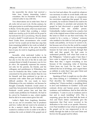the meanwhile the elector had received a letter from Cajetan demanding Luther's extradition. But on December 18 the elector ordered Luther to stay (140-141).

**¯¯¯¯¯¯¯¯¯¯¯¯¯¯¯¯¯¯¯¯¯¯¯¯¯¯¯¯¯¯¯¯¯¯¯¯¯¯¯¯¯¯¯¯¯¯¯¯¯¯¯¯¯¯¯¯¯¯¯¯¯¯¯¯¯¯¯¯¯¯¯¯¯¯¯¯¯¯¯¯¯¯¯¯¯¯¯¯¯¯**

Two observations are in order here. First of all, *Luther did not want to die*. On the contrary, he took great pains to avoid being arrested and sent to Rome. Yet by this point, what was much more important to Luther than avoiding a violent death was *standing up for his faith and the gospel he had dedicated his life to proclaiming*. Was he afraid of such a death? I would answer, He must have been! Under those circumstances who would not be? Yet he would not let that fear stop him from remaining faithful to his work on behalf of the gospel. Well aware of the price he might have to pay, he went to Augsburg and stood his ground.

Secondly, what motivated Luther to be willing not only to be put to death for his faith but also to live the rest of his life in exile and constant threat of death if necessary was *his love for others*. He repeatedly expresses his concern, not only for his parents, his friends, and his colleagues and parishioners in Wittenberg, but even for Frederick the Wise. Luther was more concerned for his prince the elector than he was for himself, and thus preferred to go into an uncertain exile rather than put Frederick in a difficult position. He was ready to leave Wittenberg at his own initiative, not because he thought eventually Frederick would arrest or expel him, but precisely because he believed that Frederick would protect him and that this would create problems for Frederick. He had to be *ordered* by Frederick to stay, which implies that he did so to some extent *against* his will.

Luther's flight from Augsburg, therefore, was an act, not of cowardice, but of prudence and love. Luther did not want to be arrested or to die a martyr's death. On the contrary, he wanted to continue to live in order to be able to continue his work on behalf of the gospel out of love for God and others. He would do whatever was necessary in order to avoid death, with one exception: he would not deny or compromise his convictions regarding that gospel. Or more accurately, he would do whatever he could to be able to continue to proclaim and promote the gospel he had discovered—a gospel that had transformed him into another person. Undoubtedly, Luther wanted to be a martyr, but only in the original sense of that word and not in the sense in which we use that word today. He wanted to be a *martys*, a "witness," someone who testified to his faith in God and the gospel loudly and publicly, *not because he wanted to die*, but because out of love for the world he wanted everyone to come to discover the incomparable treasure he had come to possess through that faith and that gospel. He had come to understand perfectly well what Paul wrote to the Philippians: "whatever gains I had, these I have come to regard as loss because of Christ. More than that, I regard everything as loss because of the surpassing value of knowing Christ Jesus my Lord. For his sake I have suffered the loss of all things, and I regard them as rubbish, in order that I may gain Christ and be found in him" (Phil. 3:7-9).

Speaking of Paul, it caught my eye the other day when looking at 1 Corinthians 1-2, where Paul describes his boldness in proclaiming nothing but "Christ-crucified, a stumbling block to Jews and foolishness to Gentiles" (1:23) and contrasts divine and human power, wisdom, weakness, and foolishness, that he then tells the Corinthians, "I came to you in weakness and in fear and in much trembling" (2:3). This is surprising, given the fact that both the book of Acts and Paul's letters consistently give the impression that Paul never wavered in his dedication to his work as an apostle. However, even Paul trembled in fear when he proclaimed the gospel, yet he was empowered to do so boldly through his faith in God and Christ and his love for the gospel and for others.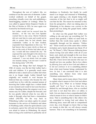**¯¯¯¯¯¯¯¯¯¯¯¯¯¯¯¯¯¯¯¯¯¯¯¯¯¯¯¯¯¯¯¯¯¯¯¯¯¯¯¯¯¯¯¯¯¯¯¯¯¯¯¯¯¯¯¯¯¯¯¯¯¯¯¯¯¯¯¯¯¯¯¯¯¯¯¯¯¯¯¯¯¯¯¯¯¯¯¯¯¯** Throughout the rest of Luther's life, we continue to see the same mix of elements. Luther worked endlessly on behalf of the gospel, preaching virtually every day and publishing a mind-boggling number of writings. When he was called to appear before Emperor Charles at the Diet of Worms in 1521, he once again was warned by his friends not to go,

but Luther would not be swayed from his decision.... At the very last even Spalatin warned him to stay away. Elector Frederick did not want him to come and would not be able to protect him; he had already been condemned. Luther, as he later recalled, responded from Oppenheim in this way: "If I had known that as many devils as there are tiles on the roofs of Worms had taken aim at me, I would still have entered the city." He expressed the same thought to the elector in a letter of March 5, 1522. Later, in 1540, he confessed: "I was not afraid; God can make one insanely daring. I am not sure I could be that daring today" (191-192).

Among the things that had changed by 1540, of course, was the fact that Luther had a wife and children. It is generally much more difficult to take a stand such as Luther did when one is no longer single. Luther himself had originally not wanted to wed because he believed that any woman who became his wife would have to live with the constant tension of knowing that Luther might face a violent death at any moment and would in fact soon become a widow. Standing before the emperor was by no means easy for Luther, despite his bravado, and he was greatly relieved when he was able to make it through what had been a tremendous ordeal (192-195). On the way back to Wittenberg, Luther was taken captive by armed horsemen in the service of Frederick and taken to Wartburg castle, where he spent almost a year in seclusion, *against* his will and not because he was afraid to return to Wittenberg. He stayed there as long as he could bear it, primarily out of obedience to Frederick, but finally he could stand it no longer and returned to Wittenberg, once again entering a city despite being fully conscious of the fact that to do so might well cost him his life. The reason he returned is that, from his perspective, what was taking place in Wittenberg in his absence was *contrary* to the gospel and was doing the gospel harm, rather than promoting it.

So what was this gospel that Luther was willing to die and give up everything for? To answer that question, I think we need look no further than the words Jesus spoke to others repeatedly through out his ministry: "Follow me." Those words are at the same time a tender invitation and a harsh demand (see thesis 19 of my "94 Theses"). Why? Because following Jesus means loving God and others with all of your heart, soul, mind and strength in the way Jesus taught (Mark 12:28-34). Yet it also means more than this. I have never met anyone who says we should not love one another. But to love others *by following Jesus* and to love God and others *as he did and continues to do* is something distinct from what most human beings understand by love. In fact, I am convinced that it is also something very distinct from what most Christians understand by love.

Many times and in many places I have tried to explain what it means to love God and others *by following Jesus*. What we as human beings usually call "love" is a far cry from love as defined by and through Jesus, who as crucified and risen is not dead but alive—or rather, is both. I do not claim to have comprehended fully what it means to love or what it means to follow Jesus. That is something that I, like others who are committed to loving God and others by following Jesus, must still seek to comprehend every day, even though we know that as long we remain in this life, we will always remain learners. That is not something to be lamented,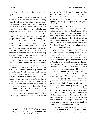but rather something over which we can only rejoice.

Rather than trying to explain here what it means to love God and others by following Jesus, I wish simply to affirm what by God's love and grace I have come to comprehend: that unless you understand why Luther, like Paul before him, was willing to give up his life and everything he had and was for the sake of the gospel, you have not yet grasped what that gospel really consists of, nor have you fully grasped what love is and what following Jesus means (see thesis 27 of my "94 Theses"). But when you have begun to understand why Luther, like many before him, was willing to say, "I would rather die, or lose everything I have, or be subjected to the worst kind of suffering, rather than recant my faith and stop following Jesus," then you have begun to understand the gospel as well.

When that happens, you then realize that Jesus' command, "Follow me," is not merely a tender invitation but a firm command. Jesus does not say, "I invite you to follow me if you feel like it." "Following me is a great idea, but it's up to you." "I really want very badly for you and everyone else to follow me, but I will not demand that of you or anyone else." No! On the contrary, his words are a *command* and a *demand* precisely because they are motivated by the same unyielding, uncompromising love that led him to do everything he did, including giving up his life on a Roman cross, not because only in that way could he enable God to forgive us, but because *he refused to stop calling people to follow him*. He says, "Follow me," not for *his* sake, but for *yours* and *mine*.

According to Mark 8:31-38, when Jesus told his disciples that he was going up to Jerusalem, where he would be killed—not because he

wanted to be killed (on the contrary!) but because he felt called to continue to *carry out there his ministry on behalf of others, in spite of the consequences*—Peter began to rebuke him for saying such a thing. In response, Jesus began to rebuke Peter and said to him, "Get behind me, Satan! For you are setting your mind not on divine things but on human things." Then Jesus "called the crowd with his disciples, and said to them, 'If any want to become my followers, let them deny themselves and take up their cross and follow me. For any who wish to save their life will lose it, but any who lose their life for my sake and for the sake of the gospel will save it. For what will it profit anyone to gain the whole world and forfeit their life?'"

Why did Jesus call Peter "Satan?" It may have been because Peter simply wanted Jesus to be acclaimed Messiah in power and glory and lead a large movement or establish a new "reign" that would replace that of Rome, at least in Palestine and perhaps Jerusalem, not through loving service but through a show of power. But I think that in effect Peter was calling on Jesus to avoid any type of confrontation with the Jewish and Roman authorities that might lead to suffering and death. In effect, he was telling Jesus what many of Luther's friends told him: "Stop following the path you are on and instead go somewhere safe so as to save your skin. You can work on behalf of your gospel from there instead." The substitutionary understandings of Jesus' death and the gospel that I have denounced so strongly elsewhere in my writings would have us believe that Jesus' death was an act of love because it was the only way he could satisfy God's justice, make atonement for our sins, or appease God's anger at those sins. That is false, and if you are ever to understand the gospel, you must repudiate such ideas.

Jesus did not want to go up to Jerusalem any more than Luther wanted to go to Augsburg or Worms or to return to a dangerous situation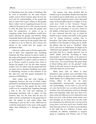**¯¯¯¯¯¯¯¯¯¯¯¯¯¯¯¯¯¯¯¯¯¯¯¯¯¯¯¯¯¯¯¯¯¯¯¯¯¯¯¯¯¯¯¯¯¯¯¯¯¯¯¯¯¯¯¯¯¯¯¯¯¯¯¯¯¯¯¯¯¯¯¯¯¯¯¯¯¯¯¯¯¯¯¯¯¯¯¯¯¯** in Wittenberg from the castle at Wartburg. But he went to Jerusalem for the same reasons Luther went to those German cities: his love for God and his understanding of the gospel left him no choice but to give witness to that gospel there. Luther went to Augsburg because he was called by the pope to do so. His concern was not to obey the pope but to obey the gospel, and from his perspective, to refuse to go to Augsburg under those conditions would have meant denying the gospel, and thereby doing irreparable harm to the sake of the gospel. When one refuses to stand up for the gospel when one is called on to do so, then by one's actions one shouts to the world that the gospel one proclaims is false.

Likewise, Luther went to Worms against the will of those who supported him, including Frederick the Wise, because he had to testify to the truth of the gospel. In the situation in which he found himself, in Luther's mind, to refuse to go to Worms would in essence have been to declare his gospel a lie. For the same reasons, Luther's love for others and the gospel left him no choice but to abandon Wartburg and return to Wittenberg, because at that moment of his life, that love and that gospel demanded his presence in Wittenberg.

After Luther had met with Cajetan at Augsburg, however, the way in which Luther persisted in standing firm for the gospel in order to give witness to that gospel for the whole world was by escaping from Augsburg through a hole in the city wall and enduring an exhausting horseback ride to safety. At that moment, that was the form that his love for others and his commitment to the gospel had to take. He needed to seek safety rather than continuing to put his life at risk. Otherwise he would be doing harm to the cause of the gospel rather than testifying to it through his life's work.

The reasons why Jesus decided that he needed to go to Jerusalem, despite knowing that he would be put to death there, are not entirely clear from the Gospel accounts. I have discussed many of the possible reasons in Chapter 5 of my work *Jesus' Death in New Testament Thought*. However, we can be sure that whatever led Jesus to go to Jerusalem, it was not a desire to die. Rather, at that time in his life and ministry, he was convinced that the way in which he needed to give witness and testify to the gospel was by facing whatever awaited him in Jerusalem. Like Luther and Paul after him, Jesus trembled at the thought of being put to death. He affirms that his soul is "troubled" (John 12:27), and once at Gethsemane, he begins to be "distressed and agitated" and tells Peter, James, and John that he is "deeply grieved, even to death" (Mark 14:33-34). According to many manuscripts of Luke's Gospel, as he prayed to God in his anguish asking to be spared the death of the cross, "his sweat became like great drops of blood falling down on the ground" (Luke 22:44). In the end, however, he prays that God's will rather than his own be done.

When Jesus calls on others to deny themselves, take up their cross, and follow him, he is not calling on them to seek suffering and death. Rather, he is calling them to love God by loving others in the way he does: unconditionally, unreservedly. unwaveringly, and unrelentingly. Yet he does so, not for *his own sake*, but for *their own*, as well as for the sake of others who will experience such love through them and hopefully make that love their own. Jesus wants his followers to love themselves and their own lives with all their heart, mind, soul, and strength; yet for Jesus they can only truly love themselves by *following him in loving God by loving others in the same way he does*. Exactly what form that type of love is to take in each situation in the daily life of a follower of Jesus must constantly be defined: sometimes it requires going to Augsburg and Worms, and as Paul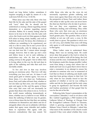found out long before Luther, sometimes it requires escaping at night by means of a city wall (Acts 9:23-25; 2 Cor. 11:32-33).

**¯¯¯¯¯¯¯¯¯¯¯¯¯¯¯¯¯¯¯¯¯¯¯¯¯¯¯¯¯¯¯¯¯¯¯¯¯¯¯¯¯¯¯¯¯¯¯¯¯¯¯¯¯¯¯¯¯¯¯¯¯¯¯¯¯¯¯¯¯¯¯¯¯¯¯¯¯¯¯¯¯¯¯¯¯¯¯¯¯¯**

When Jesus says that only those who lose their life for his sake and the sake of the gospel will "save" their life, he should not be understood as issuing a threat regarding eternal damnation or a promise regarding eternal salvation. Rather, he is merely stating what he knows to be true in *this* life. Like the Latin verb *salveo*, the Greek word *sōzō* that appears in Mark 8:35 refers to being whole, healthy, and well in both body and soul. For Jesus, this wholeness or wellness are something to be experienced, not only in a life to come, but in one's *present life* as well. Paradoxically, only by taking up a cross can one find true life. I cannot stress strongly enough, however, that to take up one's cross and follow Jesus is not to seek suffering or martyrdom—any who do that are actually acting *contrary* to the gospel—but to follow him in loving others in the way he did and does in spite of the suffering and risks that such love inevitably entails.

To live and love in that way involves paying an enormous price. That love will take everything you have and are. At times it will mean great grief or intense agony. Yet even at those times, it is also sheer joy. Furthermore, Jesus, Paul, and Luther all knew that, whether or not one takes up that cross, one will experience pain and agony in life, and the agony of those who carry that cross will not necessarily be greater than those who refuse to do so. To live in this world means suffering tremendously at times, whether one is a believer or not. While at times the suffering of believers may be greater, even at those times the fact that they are seeking wholeness for themselves and others and do so alongside others who are in solidarity with them makes that agony more tolerable and enables them to experience that agony with joy, however contradictory that may sound. Yet while those who take up the cross do not necessarily experience greater suffering and know more agony than those who do not, from the perspective of Jesus, Paul, and Luther, those who refuse to take up the cross can never know the sheer joy that those who do take it up know. Nor can they ever experience the same wholeness, healing, and well-being. Thus, while those who carry that cross pay an enormous price, those who refuse to carry that cross pay a much greater price. The question, then, is never whether or not one will carry a cross. In this world, that is a given. The question is *which cross one will carry*, and whether that cross will bring only agony or will instead bring joy in addition to that agony.

When Luther came to understand these things, there was no turning back. He could never deny that gospel or the God in whom he had come to believe with all his being, the God of Jesus and the cross. Undoubtedly his study of the Scriptures made this change possible: Luther went from being a young man whose fear of death and God was so great that it drove him to enter a monastery in an attempt to ensure his salvation to someone who was so enamored of God that no threat of suffering and death could stop him from giving witness to that God. Yet only when he was actually forced to face the question of whether or not he was willing to suffer and die for that gospel did he truly come to grasp its significance and become the bold and fearless proclaimer of that gospel that he was for the rest of his life.

Following John Nunes's presentation at the convocation I attended, I went to sit down with Rev. Gabriel Lugakingira, a PhD student at the Lutheran School of Theology at Chicago from the Evangelical Lutheran Church in Tanzania, which is growing exponentially just like the Mekane Yesus Church in Ethiopia. I asked him what most of the members of his church would respond if they were asked whether they were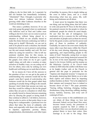willing to die for their faith. As I expected, he did not hesitate but immediately exclaimed, "Absolutely!" That, I thought, is precisely why these two African Lutheran churches are growing while other Lutheran churches in the world are shrinking in size.

**¯¯¯¯¯¯¯¯¯¯¯¯¯¯¯¯¯¯¯¯¯¯¯¯¯¯¯¯¯¯¯¯¯¯¯¯¯¯¯¯¯¯¯¯¯¯¯¯¯¯¯¯¯¯¯¯¯¯¯¯¯¯¯¯¯¯¯¯¯¯¯¯¯¯¯¯¯¯¯¯¯¯¯¯¯¯¯¯¯¯**

This raises a problem, however. If we can only truly grasp the gospel when we understand why believers such as Paul and Luther were willing to die for it, how can we come to such an understanding without being placed in a situation in which we are actually forced to make the choice between confessing our faith or being put to death? Obviously, we are not to seek to be placed in such a situation, but should instead do what we can to preserve and prolong our life and remain healthy and well. We love others by caring for ourselves. I like to tell my seminary students that, for this reason, as followers of Jesus Christ dedicated to sharing the gospel, even when we try to get a good night's sleep, eat well, take a vacation, or enjoy ourselves in healthy ways, we are acting out of love for others, since only by seeking our own health and well-being can we seek that of others.

By no means do I have all the answers to the question of how we can get to the point of understanding why someone would die for the gospel—note that I speak of *understanding* why someone would die for that gospel rather than speaking of actually being willing to die oneself, because I don't think that anyone can truly say that they would be willing to die for the gospel unless they are put in a situation in which they are actually forced to choose between remaining alive by denying the gospel or facing death if they continue to affirm it. I do believe, however, that in order to arrive at that point, there is one thing that is indispensable: a profound love for others that takes the form of solidarity with them, and especially with those who suffer due to injustice, oppression, poverty, illness, marginalization, discrimination, and other types of hardship. In essence, this is simply taking up the cross to follow Jesus, and as a result discovering what true joy, peace, life, wellbeing, and wholeness are all about.

It must never be forgotten that there was one thing, and one thing alone, that led Luther to write and post his *95 Theses* in the first place: his pastoral concern for the people to whom he ministered, people for whom he cared deeply. He saw that the sale of indulgences was motivated, not by a concern for the well-being and salvation of people such as those he served, but by the greed, avarice, and lust for power and glory of those in positions of authority. Gradually, he came to see even more clearly the many other ways that many within the Church of his day were abusing, degrading, deceiving, oppressing, and impoverishing people in the name of God.<sup>2</sup> Naturally, seeing how so many people's lives were being destroyed aroused his ire. In two of his most important writings, his *Appeal to the German Nobility* and his treatise on the *Babylonian Captivity of the Church*—both written in 1520 when the conflict with Rome was at its height—Luther rails at the Church in general and the pope in particular for the "impious and desperate tyranny" it imposes on the people, destroying their liberty so as to take them captive and enslave them by imposing endless burdens on them: "For to be subjected to their statutes and tyrannical laws is indeed to become slaves of men."<sup>3</sup> The pope promotes "buying, selling, bartering, changing, trading, drunkenness, lying, deceiving, robbing, stealing, luxury, harlotry, knavery, and every sort of contempt of God....

If you have money in this establishment you can obtain all these things we have just discussed. Indeed, not just these! Here usury becomes honest money, the possession of property acquired by theft or robbery is legalized. Here vows are dissolved; monks are granted liberty to leave their orders. Here marriage is on sale to the clergy. Here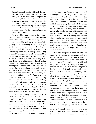bastards can be legitimized. Here all dishonor and shame can be made to look like honor and glory. Here every kind of iniquity and evil is knighted or raised to nobility. Here marriage is permitted which is within the prohibited relationships or otherwise forbidden. O what assessing and fleecing goes on there! It seems as though canon law were instituted solely for the purpose of making a great deal of money.<sup>4</sup>

It was this same concern for justice, freedom, and the well-being of the common people that led Luther to stand up for the liberating gospel he had discovered, not only by posting and then defending his *95 Theses* in spite of the consequences, but by traveling to Augsburg and Worms and by returning to Wittenberg from the Wartburg castle, fully aware of the dangers involved. He realized that to flee, hide, become silent, or recant out of fear for his life would be a betrayal not only of his conscience but of all the people whose lives had been and would be transformed by that gospel. Throughout Luther's life, what led him to remain firm and proclaim the gospel tirelessly and fearlessly was his profound love for people and his solidarity with them. Undoubtedly, this love and solidarity were far from perfect. At times that love was misguided, and on many occasions he acted in ways that were anything but loving by advocating violence and contempt toward others. Yet there can be no doubt that it was his love for others and solidarity with them that led him to be more concerned for their life and well-being than he was for his own.

It was not merely Luther's study of Scripture, therefore, that opened his eyes to the gospel and transformed him from a young man so driven by fear that he became a monk into a bold and outspoken critic of a system that oppressed people in the name of God. It was also his pastoral work, his interaction with people who faced all sorts of hardships and needed his attention, his support, his guidance,

**¯¯¯¯¯¯¯¯¯¯¯¯¯¯¯¯¯¯¯¯¯¯¯¯¯¯¯¯¯¯¯¯¯¯¯¯¯¯¯¯¯¯¯¯¯¯¯¯¯¯¯¯¯¯¯¯¯¯¯¯¯¯¯¯¯¯¯¯¯¯¯¯¯¯¯¯¯¯¯¯¯¯¯¯¯¯¯¯¯¯** and his words of hope, consolation, and encouragement. The people he served and worked alongside of transformed his life just as much as he did theirs. It was through them that Christ made Luther a different person and enabled him to grasp the truth of the words Christ had spoken: "For any who wish to save their life will lose it, but any who lose their life for my sake and for the sake of the gospel will save it." Luther found out that taking up one's cross to follow Christ in loving and serving others despite the cost involved was indeed pure grace and led one to know what true life is. And once that happened, nothing could make him back down or deny the gospel that filled his life with joy, a joy he longed for others to experience as well.

> From my perspective, then, in order to reach the point where one can understand why people such as Paul, Luther, and believers in Christ in countries like Ethiopia and Tanzania were and are willing to die for their faith and the gospel to which they cling, one must go through the same type of experience or process that Luther did. It is only as we reach out to others in love and enter into solidarity with them that we discover that taking up the cross to follow Jesus is pure grace. It is only as we give of ourselves that we receive in abundance. It is only as we are willing to lay down our life daily that we find true life. For that reason, it is important to seek the company and companionship of those who have come to understand the gospel in this way and live it out in their daily lives. Hopefully, this can take place in a Christian community, though unfortunately at times it is difficult to find a community whose primary characteristic is a commitment to living out this type of love, solidarity, and self-giving. No matter who we are or what we do, all of us constantly are in contact with people who are in some type of need and thus need accompaniment. However, it is especially as we reach out to make ourselves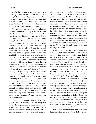**¯¯¯¯¯¯¯¯¯¯¯¯¯¯¯¯¯¯¯¯¯¯¯¯¯¯¯¯¯¯¯¯¯¯¯¯¯¯¯¯¯¯¯¯¯¯¯¯¯¯¯¯¯¯¯¯¯¯¯¯¯¯¯¯¯¯¯¯¯¯¯¯¯¯¯¯¯¯¯¯¯¯¯¯¯¯¯¯¯¯** present for those whose needs are the greatest or most urgent that we are transformed by Christ through them. Once that love and solidarity have taken root in our heart so as to bloom and blossom there, we have no problem understanding why so many have been and are willing to die for their faith and the gospel.

To reach out to others in love and solidarity, however, is not the only way to reach that point. We also grow in our faith when we ourselves experience hardships and great need and have no choice but to depend on God and those through whom God ministers to us. We tend to look elsewhere for security in our lives, especially those of us who live relatively comfortably in the global North. In contrast, those who live in greatest need, including not only the poor but people with illnesses and disabilities or those who have no one to care for them, are more easily led to the realization that in reality nothing and no one but God can truly provide us with security in this life and the next. When one has nothing to cling to but God and Christ, one learns what it means to live by faith, and one discovers that such faith is ultimately the only firm ground upon which we can stand and be secure. Those who reach that point also come to understand very well why one would be willing to die for one's faith. If we have never come to experience such hardships or great need ourselves, once again as we seek the company and companionship of those who have learned through hardships, trials, and losses that faith alone can make us secure and strong, we are transformed by them. The faith of such people tends to be "contagious" and therefore can become ours as well.

It is important to note, however, that many people would be willing to die for things that are *not* the gospel or may even be *contrary* to the gospel. Following Jesus does not involve becoming a fanatic—except perhaps if what we become fanatic about is loving and caring for others together with ourselves in healthy ways. We are called, not to be extremists, but to be faithful witnesses of the God we have come to love and know through Christ. When Jesus says that those who follow him must take up their cross daily (Luke 9:23), he does not mean that we should seek to be crucified for our faith and the gospel, but that we must be willing to pay the price that loving others and living in solidarity with them often involves. It is important to stress, however, that this price includes taking care of ourselves, seeking that our own needs be met, and staying as healthy and strong as possible. Only by paying this price can we follow Jesus faithfully so as to live out the gospel as he did.

What, then, does it mean to be Lutheran? While I do not think that there is any simple answer to that question, I would argue that at the heart of any answer we give must be the conviction that denying oneself to take up the cross and follow Jesus is *pure grace*. To call on others to do so together with us is to proclaim the gospel, since we invite and exhort them to experience that grace alongside of us by reaching out with us in love and solidarity to those who are near as well as those who are far.

As 1 John 4:18 affirms, such a love is able to cast out fear, because that love takes over our lives and makes us truly free. To use John's language, "abiding" in that love fills us with such joy and peace that we become willing to pay any price to remain there—even the price of our life, if that were to become necessary. In that way, we become "fearless" so that nothing can stop us from continuing to follow Jesus, the source of "life in abundance" both in this world and the next. Filled with such a faith, no matter what we may face in life, we reach the point where we are able to say along with Luther, "Here I stand. I can do no other."

Yet is this transformation not something that should take place in *all* who follow Christ,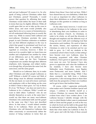and not just Lutherans? Of course it is. So why speak of being *Lutheran* Christians rather than just Christians, period? Personally, I would answer that question by affirming that many Christians would define the heart of their faith in terms that may be slightly different. While all would agree that we are to take up the cross to follow Jesus, and most would probably also agree that to do so is a source of tremendous joy, not all understand following Jesus in exactly the same way. While in essence both Lutheran and non-Lutheran Christians proclaim the same gospel, in each Christian confession or tradition one can find different emphases in the way in which that gospel is proclaimed and lived out. Rather than seeing this as something to be regretted or overcome, however, I think we must see it in a positive light: we learn from one another and complement one another by virtue of our differences, just as the authors of the books that make up the New Testament complement one another through their different emphases, style, language, and subject matter, even though they all proclaim the same God, the same Jesus, and the same gospel.

Should we as Lutherans, then, try to make other Christians and other people Lutherans as well? Without a doubt! Of course not! Both of these things must be affirmed simultaneously. On the one hand, we want all to know and learn and emphasize with us that taking up the cross to follow Christ is sheer grace. As I say in thesis 81 of my "94 Theses," one does not need to be a Lutheran to be a Lutheran. While I would not want to label others "Lutheran" who do not identify themselves as such, at the same time I would say that there are many non-Lutheran Christians who understand faith and the gospel in the same way that I have just described above. In that sense, I would indeed consider them to be Lutheran. There are also many Christians who call themselves Lutherans that either consciously or unconsciously define the essence of being Lutheran in terms that are

distinct from those I have laid out here. While I have shared here my own definition, I think that it is just as important for other Lutherans to share their definitions as well and therefore for dialogue on this question to continue as long as Lutherans exist.

**¯¯¯¯¯¯¯¯¯¯¯¯¯¯¯¯¯¯¯¯¯¯¯¯¯¯¯¯¯¯¯¯¯¯¯¯¯¯¯¯¯¯¯¯¯¯¯¯¯¯¯¯¯¯¯¯¯¯¯¯¯¯¯¯¯¯¯¯¯¯¯¯¯¯¯¯¯¯¯¯¯¯¯¯¯¯¯¯¯¯**

On the other hand, however, I would *never* want all Christians to be Lutheran in the sense of abandoning their own traditions in order to join the Lutheran Church. As Christians, in order to be whole, we all need the diversity of thought and emphasis and the different ways of living out one's faith and worshiping God that characterize each tradition. We need to listen to the stories, history, and experience of other Christians in order to be enriched and for our faith to grow. As I tell my students at the ecumenical school where I teach, in that setting I have become even *more* Lutheran, since by becoming acquainted with other Christian traditions, I have grown to appreciate and value even more my own. Yet because I have also grown to appreciate and value the traditions of my students, I have also become more Methodist, more Presbyterian, more Baptist, more Pentecostal, and more Catholic. And I think that is a wonderful thing. While I thus share constantly my faith from a Lutheran perspective, I also encourage them to share their faith from the perspective of their own tradition and to get to know that tradition better.

Of course, while I appreciate profoundly what makes each Christian tradition special and unique, I continue to identify myself as a *Lutheran* Christian, for reasons that should be evident from what I have written above. I am Lutheran because I identify strongly with the way in which Martin Luther came to understand faith in Christ and the gospel, as well as the way in which he lived out his faith in the gospel that he dedicated his life to proclaiming. Above all, I think that what makes me Lutheran is that, by God's grace and with the help of those around